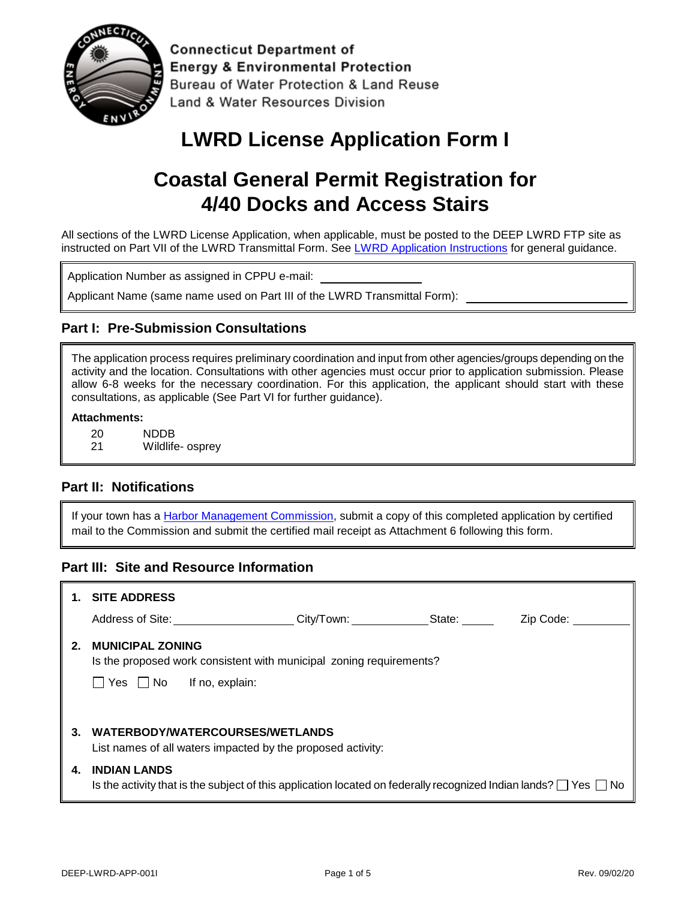

**Connecticut Department of Energy & Environmental Protection** Bureau of Water Protection & Land Reuse Land & Water Resources Division

## **LWRD License Application Form I**

# **Coastal General Permit Registration for 4/40 Docks and Access Stairs**

All sections of the LWRD License Application, when applicable, must be posted to the DEEP LWRD FTP site as instructed on Part VII of the LWRD Transmittal Form. Se[e LWRD Application Instructions](https://www.ct.gov/deep/lib/deep/Permits_and_Licenses/Land_Use_Permits/LWRD/lwrd_inst.pdf) for general guidance.

Application Number as assigned in CPPU e-mail:

Applicant Name (same name used on Part III of the LWRD Transmittal Form):

#### **Part I: Pre-Submission Consultations**

The application process requires preliminary coordination and input from other agencies/groups depending on the activity and the location. Consultations with other agencies must occur prior to application submission. Please allow 6-8 weeks for the necessary coordination. For this application, the applicant should start with these consultations, as applicable (See Part VI for further guidance).

#### **Attachments:**

- 20 NDDB
- 21 Wildlife- osprey

#### **Part II: Notifications**

If your town has a [Harbor Management Commission,](https://www.ct.gov/deep/lib/deep/Permits_and_Licenses/Land_Use_Permits/Long_Island_Sound_Permits/harbor_commission.pdf) submit a copy of this completed application by certified mail to the Commission and submit the certified mail receipt as Attachment 6 following this form.

#### **Part III: Site and Resource Information**

|    | <b>SITE ADDRESS</b>                                                                                                                               |
|----|---------------------------------------------------------------------------------------------------------------------------------------------------|
|    | Address of Site: Andreas Andreas<br>City/Town: State:<br>Zip Code:                                                                                |
| 2. | <b>MUNICIPAL ZONING</b><br>Is the proposed work consistent with municipal zoning requirements?<br>$\Box$ Yes $\Box$ No<br>If no, explain:         |
| 3. | WATERBODY/WATERCOURSES/WETLANDS<br>List names of all waters impacted by the proposed activity:                                                    |
| 4. | <b>INDIAN LANDS</b><br>Is the activity that is the subject of this application located on federally recognized Indian lands? $\Box$ Yes $\Box$ No |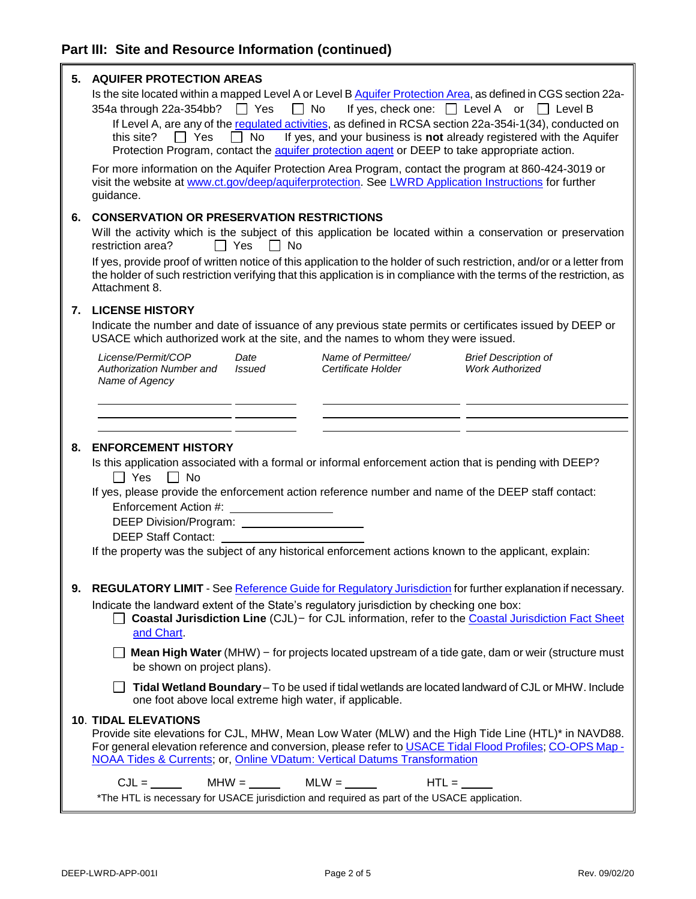| 5. | <b>AQUIFER PROTECTION AREAS</b><br>Is the site located within a mapped Level A or Level B Aquifer Protection Area, as defined in CGS section 22a-<br>$\Box$ Yes<br>$\Box$ No<br>If yes, check one: □ Level A or □ Level B<br>354a through 22a-354bb?<br>If Level A, are any of the regulated activities, as defined in RCSA section 22a-354i-1(34), conducted on<br>$\Box$ No<br>If yes, and your business is not already registered with the Aquifer<br>II Yes<br>this site?<br>Protection Program, contact the aquifer protection agent or DEEP to take appropriate action.<br>For more information on the Aquifer Protection Area Program, contact the program at 860-424-3019 or<br>visit the website at www.ct.gov/deep/aquiferprotection. See LWRD Application Instructions for further<br>guidance. |  |  |  |  |  |
|----|------------------------------------------------------------------------------------------------------------------------------------------------------------------------------------------------------------------------------------------------------------------------------------------------------------------------------------------------------------------------------------------------------------------------------------------------------------------------------------------------------------------------------------------------------------------------------------------------------------------------------------------------------------------------------------------------------------------------------------------------------------------------------------------------------------|--|--|--|--|--|
| 6. | <b>CONSERVATION OR PRESERVATION RESTRICTIONS</b>                                                                                                                                                                                                                                                                                                                                                                                                                                                                                                                                                                                                                                                                                                                                                           |  |  |  |  |  |
|    | Will the activity which is the subject of this application be located within a conservation or preservation<br>restriction area?<br>Π Yes<br>No                                                                                                                                                                                                                                                                                                                                                                                                                                                                                                                                                                                                                                                            |  |  |  |  |  |
|    | If yes, provide proof of written notice of this application to the holder of such restriction, and/or or a letter from<br>the holder of such restriction verifying that this application is in compliance with the terms of the restriction, as<br>Attachment 8.                                                                                                                                                                                                                                                                                                                                                                                                                                                                                                                                           |  |  |  |  |  |
| 7. | <b>LICENSE HISTORY</b>                                                                                                                                                                                                                                                                                                                                                                                                                                                                                                                                                                                                                                                                                                                                                                                     |  |  |  |  |  |
|    | Indicate the number and date of issuance of any previous state permits or certificates issued by DEEP or<br>USACE which authorized work at the site, and the names to whom they were issued.                                                                                                                                                                                                                                                                                                                                                                                                                                                                                                                                                                                                               |  |  |  |  |  |
|    | License/Permit/COP<br>Name of Permittee/<br>Date<br><b>Brief Description of</b><br><b>Work Authorized</b><br><b>Authorization Number and</b><br><b>Issued</b><br>Certificate Holder<br>Name of Agency                                                                                                                                                                                                                                                                                                                                                                                                                                                                                                                                                                                                      |  |  |  |  |  |
|    |                                                                                                                                                                                                                                                                                                                                                                                                                                                                                                                                                                                                                                                                                                                                                                                                            |  |  |  |  |  |
|    |                                                                                                                                                                                                                                                                                                                                                                                                                                                                                                                                                                                                                                                                                                                                                                                                            |  |  |  |  |  |
| 8. | <b>ENFORCEMENT HISTORY</b><br>Is this application associated with a formal or informal enforcement action that is pending with DEEP?<br>$\sqsupset$ Yes<br>$\Box$ No                                                                                                                                                                                                                                                                                                                                                                                                                                                                                                                                                                                                                                       |  |  |  |  |  |
|    | If yes, please provide the enforcement action reference number and name of the DEEP staff contact:<br>Enforcement Action #:<br>DEEP Division/Program: ______________________<br><b>DEEP Staff Contact:</b>                                                                                                                                                                                                                                                                                                                                                                                                                                                                                                                                                                                                 |  |  |  |  |  |
|    | If the property was the subject of any historical enforcement actions known to the applicant, explain:                                                                                                                                                                                                                                                                                                                                                                                                                                                                                                                                                                                                                                                                                                     |  |  |  |  |  |
| 9. | REGULATORY LIMIT - See Reference Guide for Regulatory Jurisdiction for further explanation if necessary.                                                                                                                                                                                                                                                                                                                                                                                                                                                                                                                                                                                                                                                                                                   |  |  |  |  |  |
|    | Indicate the landward extent of the State's regulatory jurisdiction by checking one box:<br>Coastal Jurisdiction Line (CJL) - for CJL information, refer to the Coastal Jurisdiction Fact Sheet<br>and Chart.                                                                                                                                                                                                                                                                                                                                                                                                                                                                                                                                                                                              |  |  |  |  |  |
|    | Mean High Water (MHW) - for projects located upstream of a tide gate, dam or weir (structure must<br>be shown on project plans).                                                                                                                                                                                                                                                                                                                                                                                                                                                                                                                                                                                                                                                                           |  |  |  |  |  |
|    | Tidal Wetland Boundary - To be used if tidal wetlands are located landward of CJL or MHW. Include<br>one foot above local extreme high water, if applicable.                                                                                                                                                                                                                                                                                                                                                                                                                                                                                                                                                                                                                                               |  |  |  |  |  |
|    | <b>10. TIDAL ELEVATIONS</b><br>Provide site elevations for CJL, MHW, Mean Low Water (MLW) and the High Tide Line (HTL)* in NAVD88.<br>For general elevation reference and conversion, please refer to USACE Tidal Flood Profiles; CO-OPS Map -<br>NOAA Tides & Currents; or, Online VDatum: Vertical Datums Transformation                                                                                                                                                                                                                                                                                                                                                                                                                                                                                 |  |  |  |  |  |
|    | $CJL = \_\_\_\_\_\_\_\$ MHW = $\_\_\_\_\_\_\_\_\_\_\_\_\_\_\_\_\_\_\_\_\_\_\_\_\_\_$<br>$HTL =$<br>*The HTL is necessary for USACE jurisdiction and required as part of the USACE application.                                                                                                                                                                                                                                                                                                                                                                                                                                                                                                                                                                                                             |  |  |  |  |  |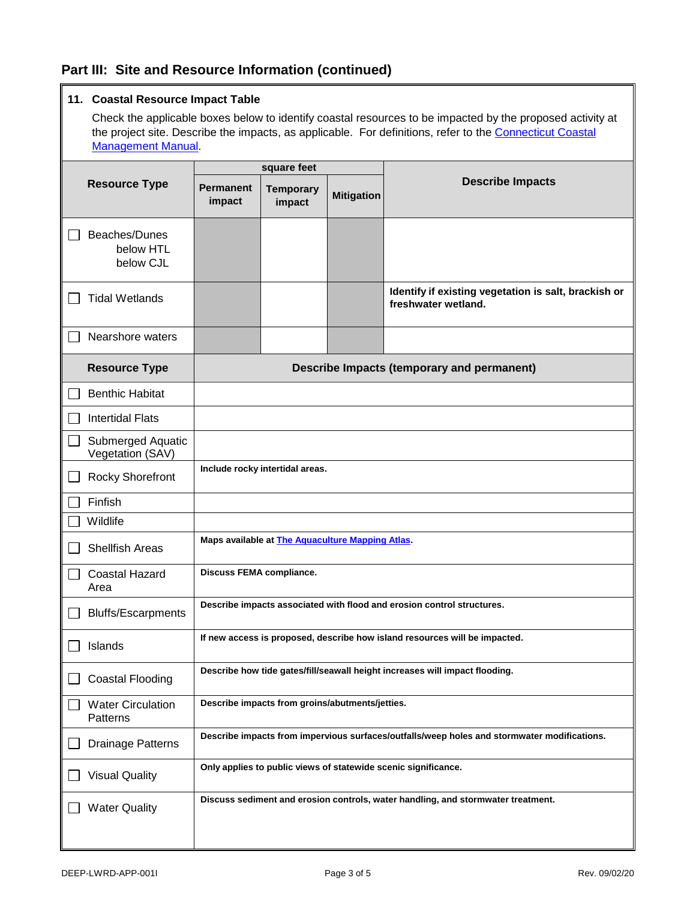### **Part III: Site and Resource Information (continued)**

### **11. Coastal Resource Impact Table**

Check the applicable boxes below to identify coastal resources to be impacted by the proposed activity at the project site. Describe the impacts, as applicable. For definitions, refer to the [Connecticut Coastal](https://www.ct.gov/deep/lib/deep/long_island_sound/coastal_management_manual/manual_08.pdf) [Management Manual.](https://www.ct.gov/deep/lib/deep/long_island_sound/coastal_management_manual/manual_08.pdf)

|  |                                         | square feet                                                                                 |                            |                   |                                                                                  |
|--|-----------------------------------------|---------------------------------------------------------------------------------------------|----------------------------|-------------------|----------------------------------------------------------------------------------|
|  | <b>Resource Type</b>                    | <b>Permanent</b><br>impact                                                                  | <b>Temporary</b><br>impact | <b>Mitigation</b> | <b>Describe Impacts</b>                                                          |
|  | Beaches/Dunes<br>below HTL<br>below CJL |                                                                                             |                            |                   |                                                                                  |
|  | <b>Tidal Wetlands</b>                   |                                                                                             |                            |                   | Identify if existing vegetation is salt, brackish or<br>freshwater wetland.      |
|  | Nearshore waters                        |                                                                                             |                            |                   |                                                                                  |
|  | <b>Resource Type</b>                    |                                                                                             |                            |                   | Describe Impacts (temporary and permanent)                                       |
|  | <b>Benthic Habitat</b>                  |                                                                                             |                            |                   |                                                                                  |
|  | <b>Intertidal Flats</b>                 |                                                                                             |                            |                   |                                                                                  |
|  | Submerged Aquatic<br>Vegetation (SAV)   |                                                                                             |                            |                   |                                                                                  |
|  | <b>Rocky Shorefront</b>                 | Include rocky intertidal areas.                                                             |                            |                   |                                                                                  |
|  | Finfish                                 |                                                                                             |                            |                   |                                                                                  |
|  | Wildlife                                |                                                                                             |                            |                   |                                                                                  |
|  | <b>Shellfish Areas</b>                  | Maps available at The Aquaculture Mapping Atlas.                                            |                            |                   |                                                                                  |
|  | <b>Coastal Hazard</b><br>Area           | <b>Discuss FEMA compliance.</b>                                                             |                            |                   |                                                                                  |
|  | <b>Bluffs/Escarpments</b>               | Describe impacts associated with flood and erosion control structures.                      |                            |                   |                                                                                  |
|  | Islands                                 | If new access is proposed, describe how island resources will be impacted.                  |                            |                   |                                                                                  |
|  | <b>Coastal Flooding</b>                 |                                                                                             |                            |                   | Describe how tide gates/fill/seawall height increases will impact flooding.      |
|  | <b>Water Circulation</b><br>Patterns    | Describe impacts from groins/abutments/jetties.                                             |                            |                   |                                                                                  |
|  | Drainage Patterns                       | Describe impacts from impervious surfaces/outfalls/weep holes and stormwater modifications. |                            |                   |                                                                                  |
|  | <b>Visual Quality</b>                   | Only applies to public views of statewide scenic significance.                              |                            |                   |                                                                                  |
|  | <b>Water Quality</b>                    |                                                                                             |                            |                   | Discuss sediment and erosion controls, water handling, and stormwater treatment. |
|  |                                         |                                                                                             |                            |                   |                                                                                  |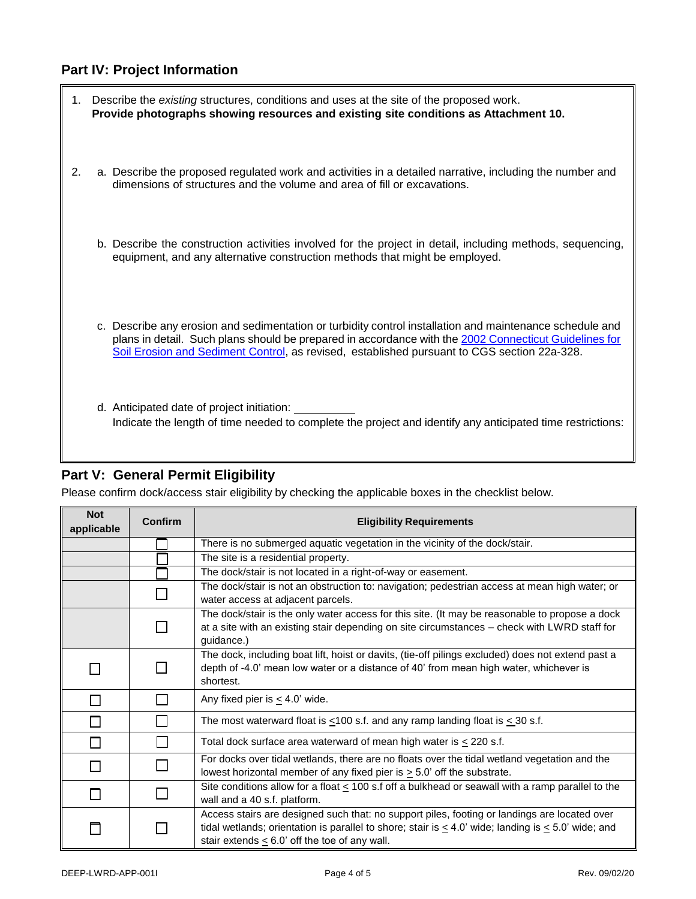## **Part IV: Project Information**

|    | 1. Describe the existing structures, conditions and uses at the site of the proposed work.<br>Provide photographs showing resources and existing site conditions as Attachment 10.                                                                                                                               |
|----|------------------------------------------------------------------------------------------------------------------------------------------------------------------------------------------------------------------------------------------------------------------------------------------------------------------|
| 2. | a. Describe the proposed regulated work and activities in a detailed narrative, including the number and<br>dimensions of structures and the volume and area of fill or excavations.                                                                                                                             |
|    | b. Describe the construction activities involved for the project in detail, including methods, sequencing,<br>equipment, and any alternative construction methods that might be employed.                                                                                                                        |
|    | c. Describe any erosion and sedimentation or turbidity control installation and maintenance schedule and<br>plans in detail. Such plans should be prepared in accordance with the 2002 Connecticut Guidelines for<br>Soil Erosion and Sediment Control, as revised, established pursuant to CGS section 22a-328. |
|    | d. Anticipated date of project initiation:<br>Indicate the length of time needed to complete the project and identify any anticipated time restrictions:                                                                                                                                                         |

## **Part V: General Permit Eligibility**

r.

Please confirm dock/access stair eligibility by checking the applicable boxes in the checklist below.

| <b>Not</b><br>applicable | Confirm | <b>Eligibility Requirements</b>                                                                                                                                                                                                                                     |  |  |  |
|--------------------------|---------|---------------------------------------------------------------------------------------------------------------------------------------------------------------------------------------------------------------------------------------------------------------------|--|--|--|
|                          |         | There is no submerged aquatic vegetation in the vicinity of the dock/stair.                                                                                                                                                                                         |  |  |  |
|                          |         | The site is a residential property.                                                                                                                                                                                                                                 |  |  |  |
|                          |         | The dock/stair is not located in a right-of-way or easement.                                                                                                                                                                                                        |  |  |  |
|                          |         | The dock/stair is not an obstruction to: navigation; pedestrian access at mean high water; or<br>water access at adjacent parcels.                                                                                                                                  |  |  |  |
|                          |         | The dock/stair is the only water access for this site. (It may be reasonable to propose a dock<br>at a site with an existing stair depending on site circumstances - check with LWRD staff for<br>guidance.)                                                        |  |  |  |
|                          |         | The dock, including boat lift, hoist or davits, (tie-off pilings excluded) does not extend past a<br>depth of -4.0' mean low water or a distance of 40' from mean high water, whichever is<br>shortest.                                                             |  |  |  |
|                          |         | Any fixed pier is $\leq$ 4.0' wide.                                                                                                                                                                                                                                 |  |  |  |
|                          |         | The most waterward float is $\leq 100$ s.f. and any ramp landing float is $\leq 30$ s.f.                                                                                                                                                                            |  |  |  |
|                          |         | Total dock surface area waterward of mean high water is $\leq$ 220 s.f.                                                                                                                                                                                             |  |  |  |
|                          |         | For docks over tidal wetlands, there are no floats over the tidal wetland vegetation and the<br>lowest horizontal member of any fixed pier is $\geq$ 5.0' off the substrate.                                                                                        |  |  |  |
|                          |         | Site conditions allow for a float < 100 s.f off a bulkhead or seawall with a ramp parallel to the<br>wall and a 40 s.f. platform.                                                                                                                                   |  |  |  |
|                          |         | Access stairs are designed such that: no support piles, footing or landings are located over<br>tidal wetlands; orientation is parallel to shore; stair is $\leq 4.0$ ' wide; landing is $\leq 5.0$ ' wide; and<br>stair extends $< 6.0$ ' off the toe of any wall. |  |  |  |